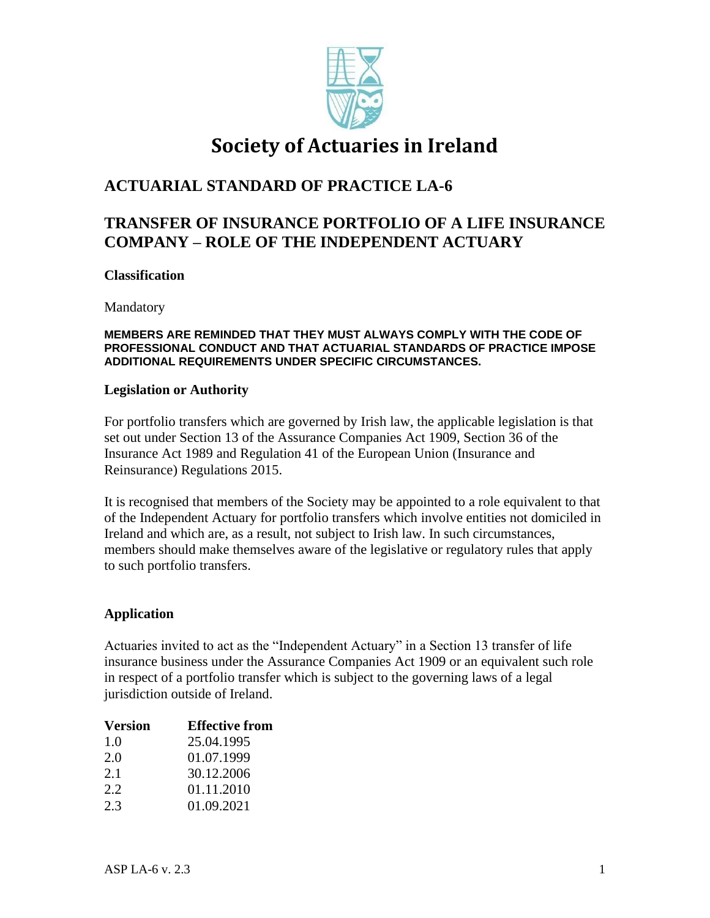

# **Society of Actuaries in Ireland**

# **ACTUARIAL STANDARD OF PRACTICE LA-6**

# **TRANSFER OF INSURANCE PORTFOLIO OF A LIFE INSURANCE COMPANY – ROLE OF THE INDEPENDENT ACTUARY**

### **Classification**

Mandatory

#### **MEMBERS ARE REMINDED THAT THEY MUST ALWAYS COMPLY WITH THE CODE OF PROFESSIONAL CONDUCT AND THAT ACTUARIAL STANDARDS OF PRACTICE IMPOSE ADDITIONAL REQUIREMENTS UNDER SPECIFIC CIRCUMSTANCES.**

#### **Legislation or Authority**

For portfolio transfers which are governed by Irish law, the applicable legislation is that set out under Section 13 of the Assurance Companies Act 1909, Section 36 of the Insurance Act 1989 and Regulation 41 of the European Union (Insurance and Reinsurance) Regulations 2015.

It is recognised that members of the Society may be appointed to a role equivalent to that of the Independent Actuary for portfolio transfers which involve entities not domiciled in Ireland and which are, as a result, not subject to Irish law. In such circumstances, members should make themselves aware of the legislative or regulatory rules that apply to such portfolio transfers.

### **Application**

Actuaries invited to act as the "Independent Actuary" in a Section 13 transfer of life insurance business under the Assurance Companies Act 1909 or an equivalent such role in respect of a portfolio transfer which is subject to the governing laws of a legal jurisdiction outside of Ireland.

| <b>Version</b> | <b>Effective from</b> |
|----------------|-----------------------|
| 1.0            | 25.04.1995            |
| 2.0            | 01.07.1999            |
| 2.1            | 30.12.2006            |
| 2.2.           | 01.11.2010            |
| 2.3            | 01.09.2021            |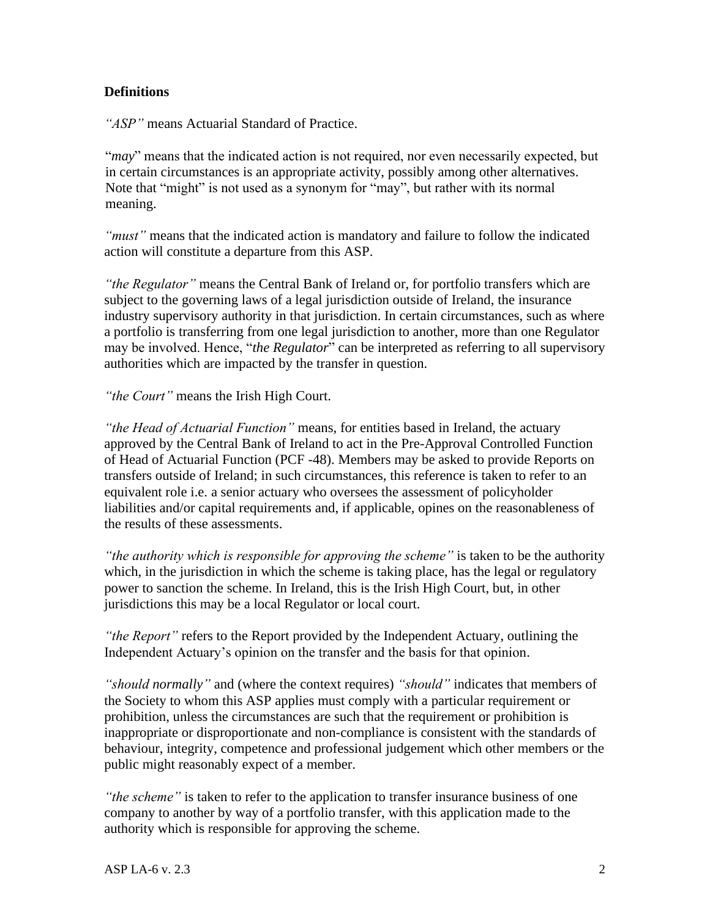### **Definitions**

*"ASP"* means Actuarial Standard of Practice.

"*may*" means that the indicated action is not required, nor even necessarily expected, but in certain circumstances is an appropriate activity, possibly among other alternatives. Note that "might" is not used as a synonym for "may", but rather with its normal meaning.

*"must"* means that the indicated action is mandatory and failure to follow the indicated action will constitute a departure from this ASP.

*"the Regulator"* means the Central Bank of Ireland or, for portfolio transfers which are subject to the governing laws of a legal jurisdiction outside of Ireland, the insurance industry supervisory authority in that jurisdiction. In certain circumstances, such as where a portfolio is transferring from one legal jurisdiction to another, more than one Regulator may be involved. Hence, "*the Regulator*" can be interpreted as referring to all supervisory authorities which are impacted by the transfer in question.

*"the Court"* means the Irish High Court.

*"the Head of Actuarial Function"* means, for entities based in Ireland, the actuary approved by the Central Bank of Ireland to act in the Pre-Approval Controlled Function of Head of Actuarial Function (PCF -48). Members may be asked to provide Reports on transfers outside of Ireland; in such circumstances, this reference is taken to refer to an equivalent role i.e. a senior actuary who oversees the assessment of policyholder liabilities and/or capital requirements and, if applicable, opines on the reasonableness of the results of these assessments.

*"the authority which is responsible for approving the scheme"* is taken to be the authority which, in the jurisdiction in which the scheme is taking place, has the legal or regulatory power to sanction the scheme. In Ireland, this is the Irish High Court, but, in other jurisdictions this may be a local Regulator or local court.

*"the Report"* refers to the Report provided by the Independent Actuary, outlining the Independent Actuary's opinion on the transfer and the basis for that opinion.

*"should normally"* and (where the context requires) *"should"* indicates that members of the Society to whom this ASP applies must comply with a particular requirement or prohibition, unless the circumstances are such that the requirement or prohibition is inappropriate or disproportionate and non-compliance is consistent with the standards of behaviour, integrity, competence and professional judgement which other members or the public might reasonably expect of a member.

*"the scheme"* is taken to refer to the application to transfer insurance business of one company to another by way of a portfolio transfer, with this application made to the authority which is responsible for approving the scheme.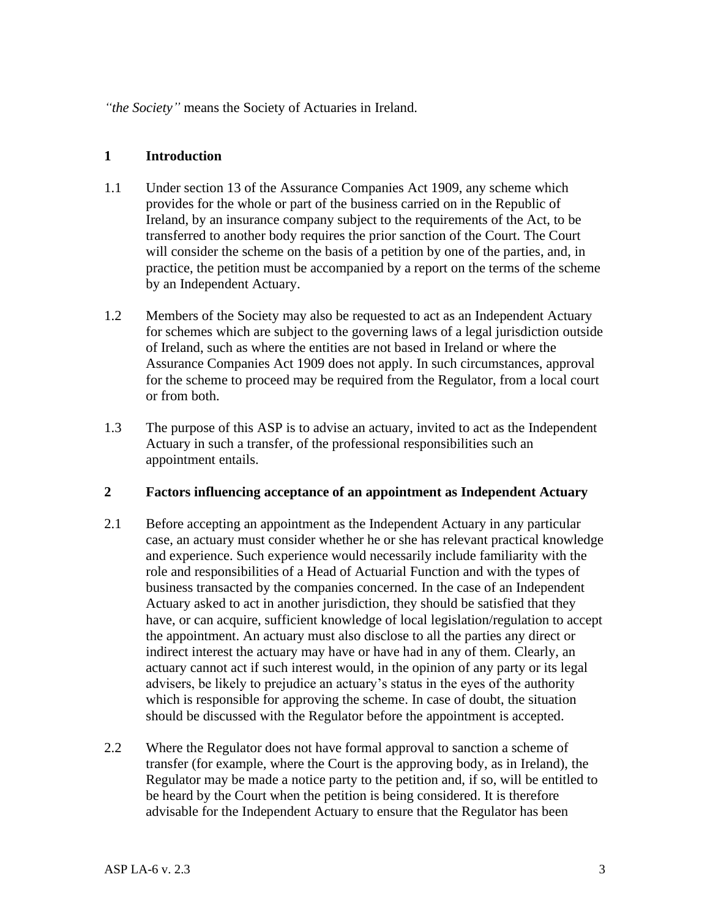*"the Society"* means the Society of Actuaries in Ireland.

### **1 Introduction**

- 1.1 Under section 13 of the Assurance Companies Act 1909, any scheme which provides for the whole or part of the business carried on in the Republic of Ireland, by an insurance company subject to the requirements of the Act, to be transferred to another body requires the prior sanction of the Court. The Court will consider the scheme on the basis of a petition by one of the parties, and, in practice, the petition must be accompanied by a report on the terms of the scheme by an Independent Actuary.
- 1.2 Members of the Society may also be requested to act as an Independent Actuary for schemes which are subject to the governing laws of a legal jurisdiction outside of Ireland, such as where the entities are not based in Ireland or where the Assurance Companies Act 1909 does not apply. In such circumstances, approval for the scheme to proceed may be required from the Regulator, from a local court or from both.
- 1.3 The purpose of this ASP is to advise an actuary, invited to act as the Independent Actuary in such a transfer, of the professional responsibilities such an appointment entails.

#### **2 Factors influencing acceptance of an appointment as Independent Actuary**

- 2.1 Before accepting an appointment as the Independent Actuary in any particular case, an actuary must consider whether he or she has relevant practical knowledge and experience. Such experience would necessarily include familiarity with the role and responsibilities of a Head of Actuarial Function and with the types of business transacted by the companies concerned. In the case of an Independent Actuary asked to act in another jurisdiction, they should be satisfied that they have, or can acquire, sufficient knowledge of local legislation/regulation to accept the appointment. An actuary must also disclose to all the parties any direct or indirect interest the actuary may have or have had in any of them. Clearly, an actuary cannot act if such interest would, in the opinion of any party or its legal advisers, be likely to prejudice an actuary's status in the eyes of the authority which is responsible for approving the scheme. In case of doubt, the situation should be discussed with the Regulator before the appointment is accepted.
- 2.2 Where the Regulator does not have formal approval to sanction a scheme of transfer (for example, where the Court is the approving body, as in Ireland), the Regulator may be made a notice party to the petition and, if so, will be entitled to be heard by the Court when the petition is being considered. It is therefore advisable for the Independent Actuary to ensure that the Regulator has been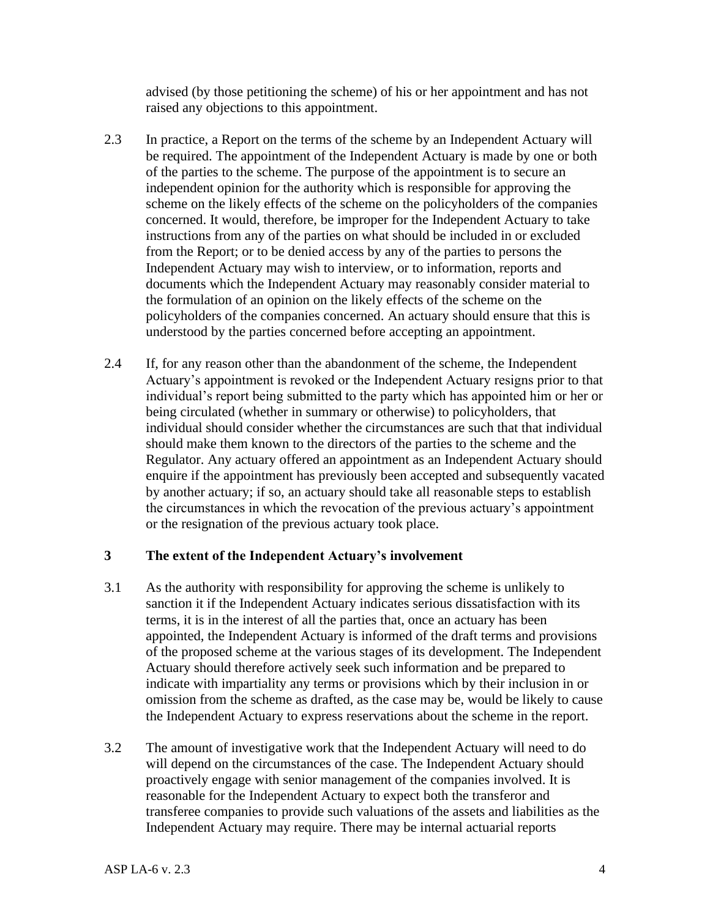advised (by those petitioning the scheme) of his or her appointment and has not raised any objections to this appointment.

- 2.3 In practice, a Report on the terms of the scheme by an Independent Actuary will be required. The appointment of the Independent Actuary is made by one or both of the parties to the scheme. The purpose of the appointment is to secure an independent opinion for the authority which is responsible for approving the scheme on the likely effects of the scheme on the policyholders of the companies concerned. It would, therefore, be improper for the Independent Actuary to take instructions from any of the parties on what should be included in or excluded from the Report; or to be denied access by any of the parties to persons the Independent Actuary may wish to interview, or to information, reports and documents which the Independent Actuary may reasonably consider material to the formulation of an opinion on the likely effects of the scheme on the policyholders of the companies concerned. An actuary should ensure that this is understood by the parties concerned before accepting an appointment.
- 2.4 If, for any reason other than the abandonment of the scheme, the Independent Actuary's appointment is revoked or the Independent Actuary resigns prior to that individual's report being submitted to the party which has appointed him or her or being circulated (whether in summary or otherwise) to policyholders, that individual should consider whether the circumstances are such that that individual should make them known to the directors of the parties to the scheme and the Regulator. Any actuary offered an appointment as an Independent Actuary should enquire if the appointment has previously been accepted and subsequently vacated by another actuary; if so, an actuary should take all reasonable steps to establish the circumstances in which the revocation of the previous actuary's appointment or the resignation of the previous actuary took place.

#### **3 The extent of the Independent Actuary's involvement**

- 3.1 As the authority with responsibility for approving the scheme is unlikely to sanction it if the Independent Actuary indicates serious dissatisfaction with its terms, it is in the interest of all the parties that, once an actuary has been appointed, the Independent Actuary is informed of the draft terms and provisions of the proposed scheme at the various stages of its development. The Independent Actuary should therefore actively seek such information and be prepared to indicate with impartiality any terms or provisions which by their inclusion in or omission from the scheme as drafted, as the case may be, would be likely to cause the Independent Actuary to express reservations about the scheme in the report.
- 3.2 The amount of investigative work that the Independent Actuary will need to do will depend on the circumstances of the case. The Independent Actuary should proactively engage with senior management of the companies involved. It is reasonable for the Independent Actuary to expect both the transferor and transferee companies to provide such valuations of the assets and liabilities as the Independent Actuary may require. There may be internal actuarial reports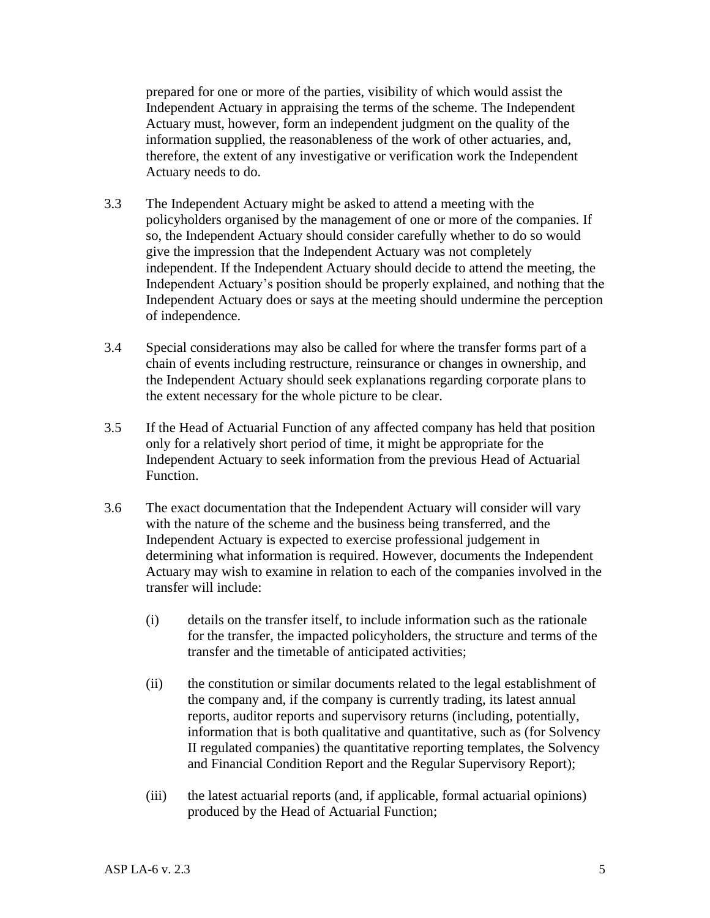prepared for one or more of the parties, visibility of which would assist the Independent Actuary in appraising the terms of the scheme. The Independent Actuary must, however, form an independent judgment on the quality of the information supplied, the reasonableness of the work of other actuaries, and, therefore, the extent of any investigative or verification work the Independent Actuary needs to do.

- 3.3 The Independent Actuary might be asked to attend a meeting with the policyholders organised by the management of one or more of the companies. If so, the Independent Actuary should consider carefully whether to do so would give the impression that the Independent Actuary was not completely independent. If the Independent Actuary should decide to attend the meeting, the Independent Actuary's position should be properly explained, and nothing that the Independent Actuary does or says at the meeting should undermine the perception of independence.
- 3.4 Special considerations may also be called for where the transfer forms part of a chain of events including restructure, reinsurance or changes in ownership, and the Independent Actuary should seek explanations regarding corporate plans to the extent necessary for the whole picture to be clear.
- 3.5 If the Head of Actuarial Function of any affected company has held that position only for a relatively short period of time, it might be appropriate for the Independent Actuary to seek information from the previous Head of Actuarial Function.
- 3.6 The exact documentation that the Independent Actuary will consider will vary with the nature of the scheme and the business being transferred, and the Independent Actuary is expected to exercise professional judgement in determining what information is required. However, documents the Independent Actuary may wish to examine in relation to each of the companies involved in the transfer will include:
	- (i) details on the transfer itself, to include information such as the rationale for the transfer, the impacted policyholders, the structure and terms of the transfer and the timetable of anticipated activities;
	- (ii) the constitution or similar documents related to the legal establishment of the company and, if the company is currently trading, its latest annual reports, auditor reports and supervisory returns (including, potentially, information that is both qualitative and quantitative, such as (for Solvency II regulated companies) the quantitative reporting templates, the Solvency and Financial Condition Report and the Regular Supervisory Report);
	- (iii) the latest actuarial reports (and, if applicable, formal actuarial opinions) produced by the Head of Actuarial Function;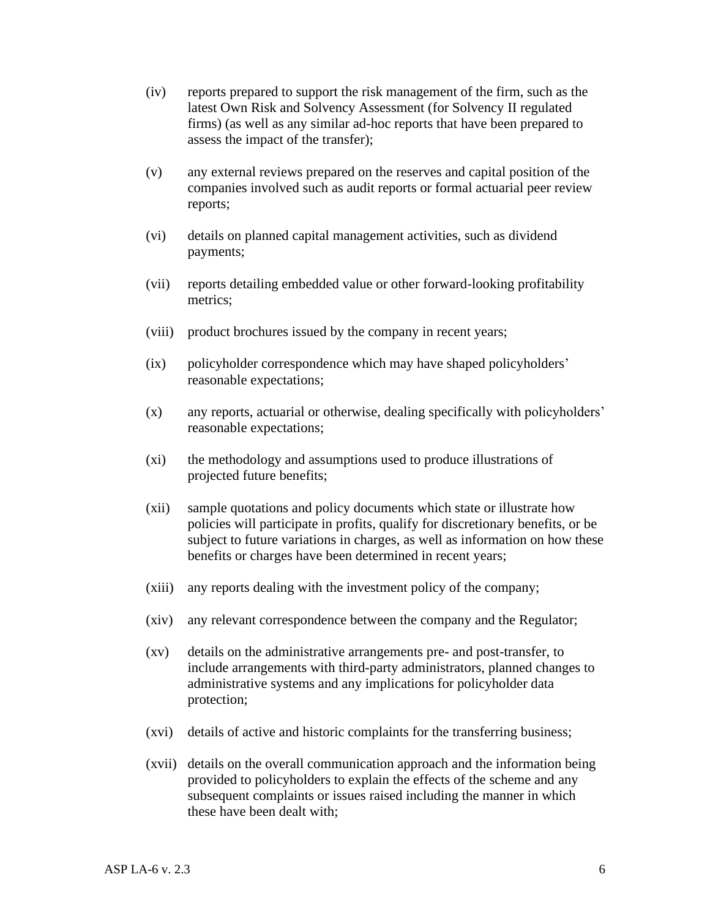- (iv) reports prepared to support the risk management of the firm, such as the latest Own Risk and Solvency Assessment (for Solvency II regulated firms) (as well as any similar ad-hoc reports that have been prepared to assess the impact of the transfer);
- (v) any external reviews prepared on the reserves and capital position of the companies involved such as audit reports or formal actuarial peer review reports;
- (vi) details on planned capital management activities, such as dividend payments;
- (vii) reports detailing embedded value or other forward-looking profitability metrics;
- (viii) product brochures issued by the company in recent years;
- (ix) policyholder correspondence which may have shaped policyholders' reasonable expectations;
- (x) any reports, actuarial or otherwise, dealing specifically with policyholders' reasonable expectations;
- (xi) the methodology and assumptions used to produce illustrations of projected future benefits;
- (xii) sample quotations and policy documents which state or illustrate how policies will participate in profits, qualify for discretionary benefits, or be subject to future variations in charges, as well as information on how these benefits or charges have been determined in recent years;
- (xiii) any reports dealing with the investment policy of the company;
- (xiv) any relevant correspondence between the company and the Regulator;
- (xv) details on the administrative arrangements pre- and post-transfer, to include arrangements with third-party administrators, planned changes to administrative systems and any implications for policyholder data protection;
- (xvi) details of active and historic complaints for the transferring business;
- (xvii) details on the overall communication approach and the information being provided to policyholders to explain the effects of the scheme and any subsequent complaints or issues raised including the manner in which these have been dealt with;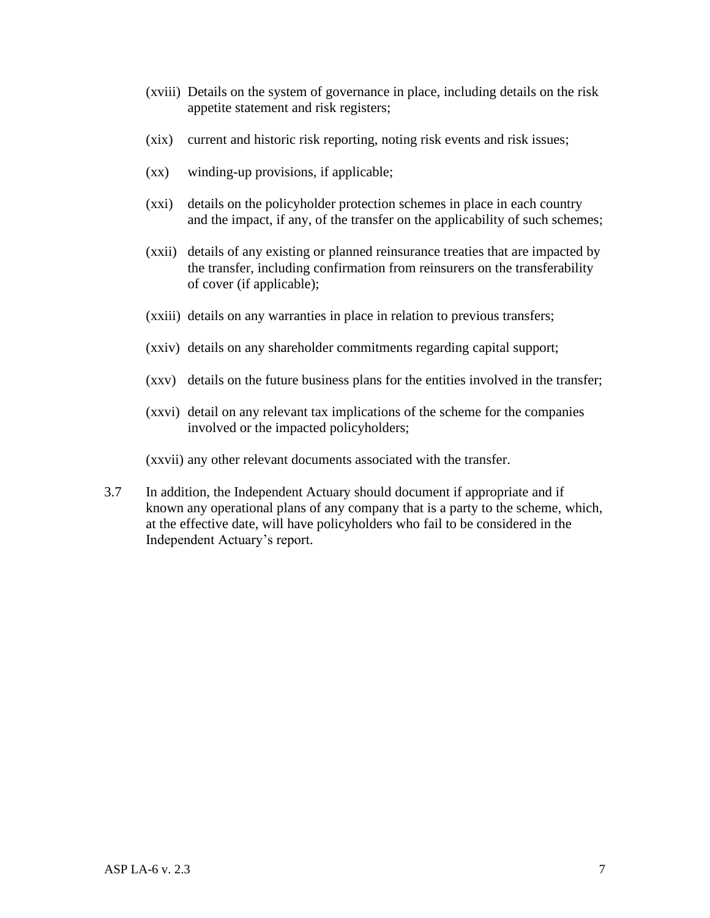- (xviii) Details on the system of governance in place, including details on the risk appetite statement and risk registers;
- (xix) current and historic risk reporting, noting risk events and risk issues;
- (xx) winding-up provisions, if applicable;
- (xxi) details on the policyholder protection schemes in place in each country and the impact, if any, of the transfer on the applicability of such schemes;
- (xxii) details of any existing or planned reinsurance treaties that are impacted by the transfer, including confirmation from reinsurers on the transferability of cover (if applicable);
- (xxiii) details on any warranties in place in relation to previous transfers;
- (xxiv) details on any shareholder commitments regarding capital support;
- (xxv) details on the future business plans for the entities involved in the transfer;
- (xxvi) detail on any relevant tax implications of the scheme for the companies involved or the impacted policyholders;

(xxvii) any other relevant documents associated with the transfer.

3.7 In addition, the Independent Actuary should document if appropriate and if known any operational plans of any company that is a party to the scheme, which, at the effective date, will have policyholders who fail to be considered in the Independent Actuary's report.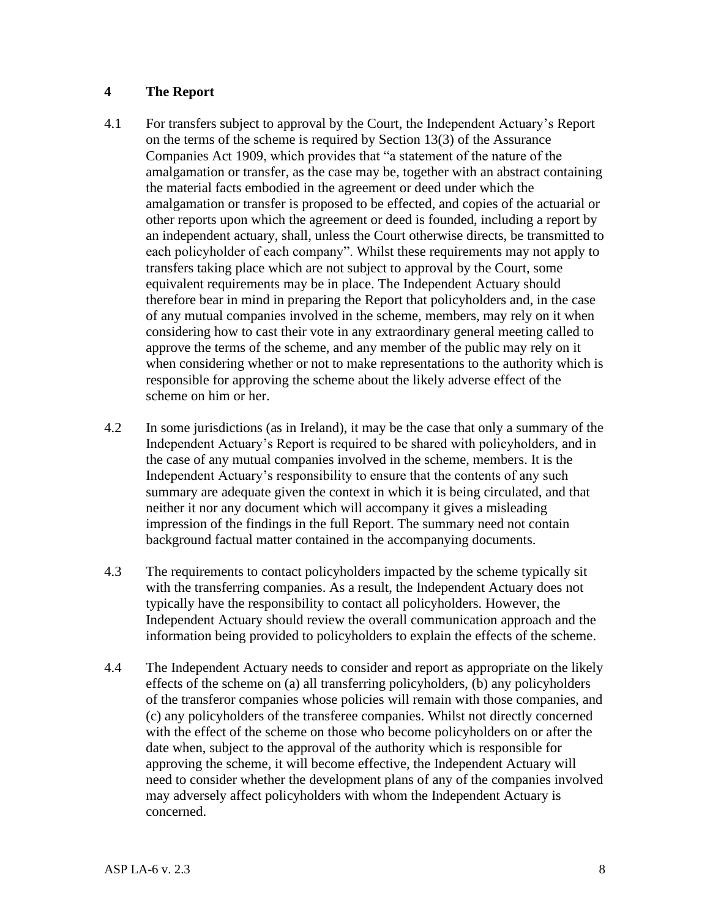### **4 The Report**

- 4.1 For transfers subject to approval by the Court, the Independent Actuary's Report on the terms of the scheme is required by Section 13(3) of the Assurance Companies Act 1909, which provides that "a statement of the nature of the amalgamation or transfer, as the case may be, together with an abstract containing the material facts embodied in the agreement or deed under which the amalgamation or transfer is proposed to be effected, and copies of the actuarial or other reports upon which the agreement or deed is founded, including a report by an independent actuary, shall, unless the Court otherwise directs, be transmitted to each policyholder of each company". Whilst these requirements may not apply to transfers taking place which are not subject to approval by the Court, some equivalent requirements may be in place. The Independent Actuary should therefore bear in mind in preparing the Report that policyholders and, in the case of any mutual companies involved in the scheme, members, may rely on it when considering how to cast their vote in any extraordinary general meeting called to approve the terms of the scheme, and any member of the public may rely on it when considering whether or not to make representations to the authority which is responsible for approving the scheme about the likely adverse effect of the scheme on him or her.
- 4.2 In some jurisdictions (as in Ireland), it may be the case that only a summary of the Independent Actuary's Report is required to be shared with policyholders, and in the case of any mutual companies involved in the scheme, members. It is the Independent Actuary's responsibility to ensure that the contents of any such summary are adequate given the context in which it is being circulated, and that neither it nor any document which will accompany it gives a misleading impression of the findings in the full Report. The summary need not contain background factual matter contained in the accompanying documents.
- 4.3 The requirements to contact policyholders impacted by the scheme typically sit with the transferring companies. As a result, the Independent Actuary does not typically have the responsibility to contact all policyholders. However, the Independent Actuary should review the overall communication approach and the information being provided to policyholders to explain the effects of the scheme.
- 4.4 The Independent Actuary needs to consider and report as appropriate on the likely effects of the scheme on (a) all transferring policyholders, (b) any policyholders of the transferor companies whose policies will remain with those companies, and (c) any policyholders of the transferee companies. Whilst not directly concerned with the effect of the scheme on those who become policyholders on or after the date when, subject to the approval of the authority which is responsible for approving the scheme, it will become effective, the Independent Actuary will need to consider whether the development plans of any of the companies involved may adversely affect policyholders with whom the Independent Actuary is concerned.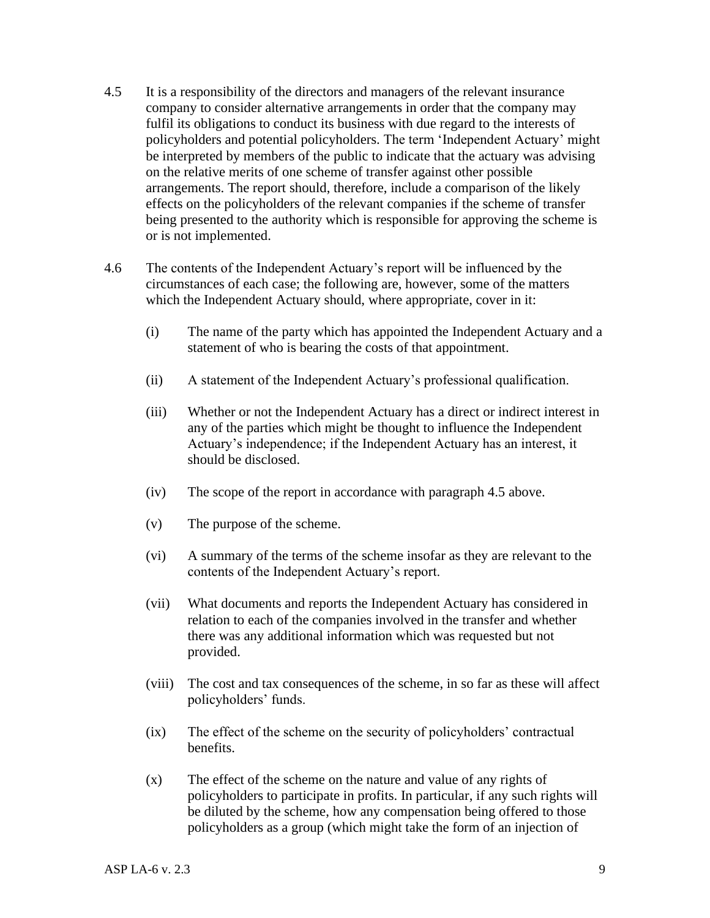- 4.5 It is a responsibility of the directors and managers of the relevant insurance company to consider alternative arrangements in order that the company may fulfil its obligations to conduct its business with due regard to the interests of policyholders and potential policyholders. The term 'Independent Actuary' might be interpreted by members of the public to indicate that the actuary was advising on the relative merits of one scheme of transfer against other possible arrangements. The report should, therefore, include a comparison of the likely effects on the policyholders of the relevant companies if the scheme of transfer being presented to the authority which is responsible for approving the scheme is or is not implemented.
- 4.6 The contents of the Independent Actuary's report will be influenced by the circumstances of each case; the following are, however, some of the matters which the Independent Actuary should, where appropriate, cover in it:
	- (i) The name of the party which has appointed the Independent Actuary and a statement of who is bearing the costs of that appointment.
	- (ii) A statement of the Independent Actuary's professional qualification.
	- (iii) Whether or not the Independent Actuary has a direct or indirect interest in any of the parties which might be thought to influence the Independent Actuary's independence; if the Independent Actuary has an interest, it should be disclosed.
	- (iv) The scope of the report in accordance with paragraph 4.5 above.
	- (v) The purpose of the scheme.
	- (vi) A summary of the terms of the scheme insofar as they are relevant to the contents of the Independent Actuary's report.
	- (vii) What documents and reports the Independent Actuary has considered in relation to each of the companies involved in the transfer and whether there was any additional information which was requested but not provided.
	- (viii) The cost and tax consequences of the scheme, in so far as these will affect policyholders' funds.
	- (ix) The effect of the scheme on the security of policyholders' contractual benefits.
	- (x) The effect of the scheme on the nature and value of any rights of policyholders to participate in profits. In particular, if any such rights will be diluted by the scheme, how any compensation being offered to those policyholders as a group (which might take the form of an injection of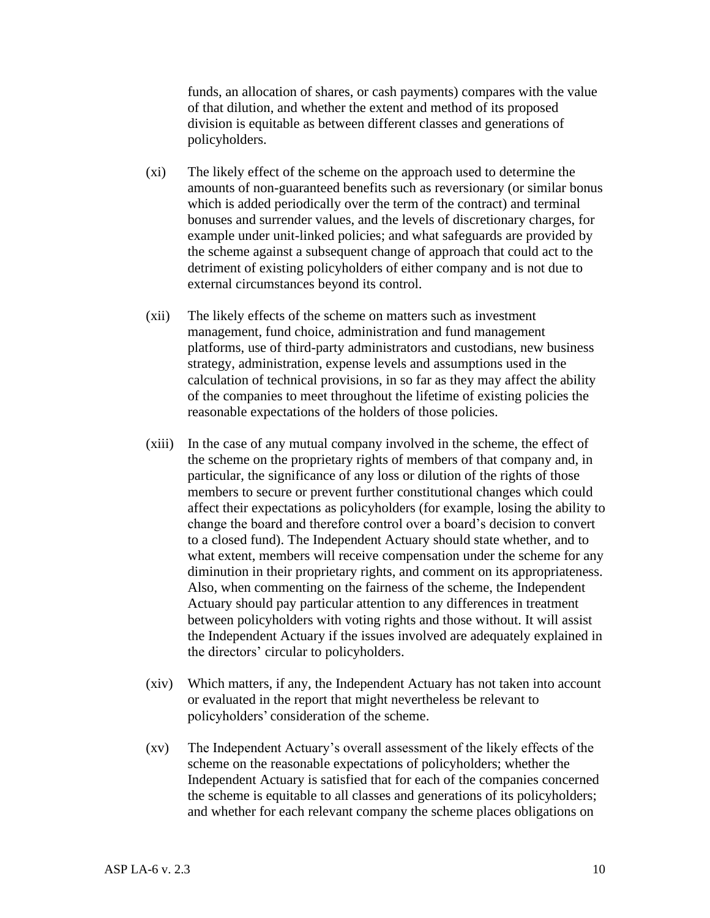funds, an allocation of shares, or cash payments) compares with the value of that dilution, and whether the extent and method of its proposed division is equitable as between different classes and generations of policyholders.

- (xi) The likely effect of the scheme on the approach used to determine the amounts of non-guaranteed benefits such as reversionary (or similar bonus which is added periodically over the term of the contract) and terminal bonuses and surrender values, and the levels of discretionary charges, for example under unit-linked policies; and what safeguards are provided by the scheme against a subsequent change of approach that could act to the detriment of existing policyholders of either company and is not due to external circumstances beyond its control.
- (xii) The likely effects of the scheme on matters such as investment management, fund choice, administration and fund management platforms, use of third-party administrators and custodians, new business strategy, administration, expense levels and assumptions used in the calculation of technical provisions, in so far as they may affect the ability of the companies to meet throughout the lifetime of existing policies the reasonable expectations of the holders of those policies.
- (xiii) In the case of any mutual company involved in the scheme, the effect of the scheme on the proprietary rights of members of that company and, in particular, the significance of any loss or dilution of the rights of those members to secure or prevent further constitutional changes which could affect their expectations as policyholders (for example, losing the ability to change the board and therefore control over a board's decision to convert to a closed fund). The Independent Actuary should state whether, and to what extent, members will receive compensation under the scheme for any diminution in their proprietary rights, and comment on its appropriateness. Also, when commenting on the fairness of the scheme, the Independent Actuary should pay particular attention to any differences in treatment between policyholders with voting rights and those without. It will assist the Independent Actuary if the issues involved are adequately explained in the directors' circular to policyholders.
- (xiv) Which matters, if any, the Independent Actuary has not taken into account or evaluated in the report that might nevertheless be relevant to policyholders' consideration of the scheme.
- (xv) The Independent Actuary's overall assessment of the likely effects of the scheme on the reasonable expectations of policyholders; whether the Independent Actuary is satisfied that for each of the companies concerned the scheme is equitable to all classes and generations of its policyholders; and whether for each relevant company the scheme places obligations on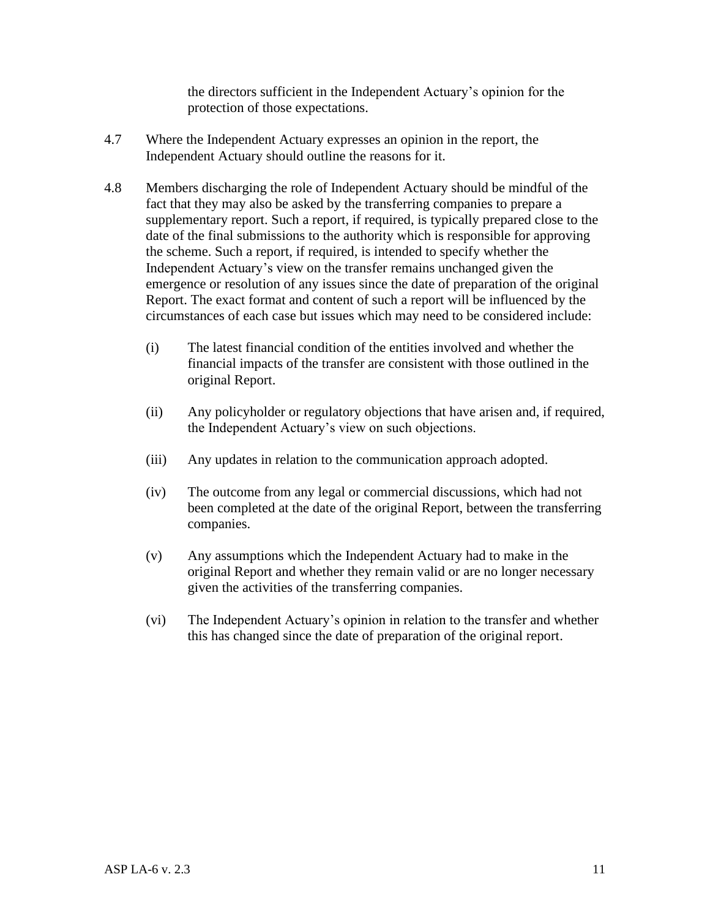the directors sufficient in the Independent Actuary's opinion for the protection of those expectations.

- 4.7 Where the Independent Actuary expresses an opinion in the report, the Independent Actuary should outline the reasons for it.
- 4.8 Members discharging the role of Independent Actuary should be mindful of the fact that they may also be asked by the transferring companies to prepare a supplementary report. Such a report, if required, is typically prepared close to the date of the final submissions to the authority which is responsible for approving the scheme. Such a report, if required, is intended to specify whether the Independent Actuary's view on the transfer remains unchanged given the emergence or resolution of any issues since the date of preparation of the original Report. The exact format and content of such a report will be influenced by the circumstances of each case but issues which may need to be considered include:
	- (i) The latest financial condition of the entities involved and whether the financial impacts of the transfer are consistent with those outlined in the original Report.
	- (ii) Any policyholder or regulatory objections that have arisen and, if required, the Independent Actuary's view on such objections.
	- (iii) Any updates in relation to the communication approach adopted.
	- (iv) The outcome from any legal or commercial discussions, which had not been completed at the date of the original Report, between the transferring companies.
	- (v) Any assumptions which the Independent Actuary had to make in the original Report and whether they remain valid or are no longer necessary given the activities of the transferring companies.
	- (vi) The Independent Actuary's opinion in relation to the transfer and whether this has changed since the date of preparation of the original report.